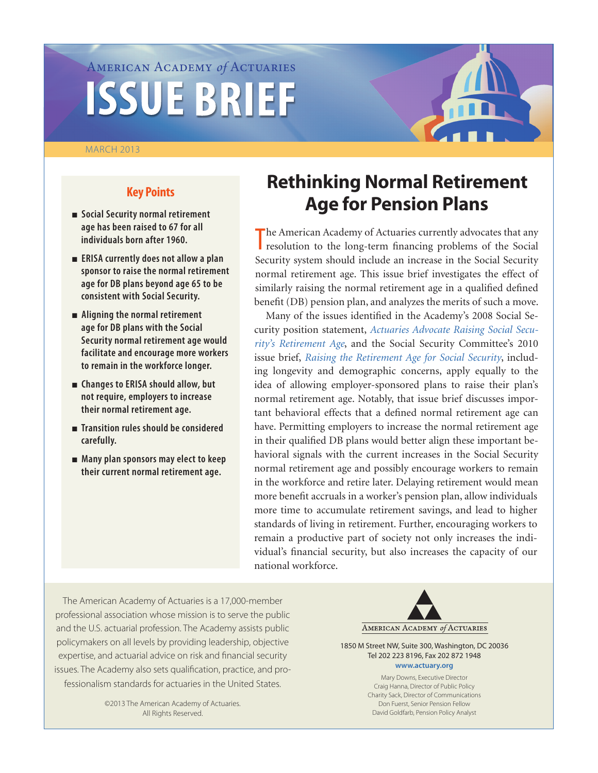# American Academy *of* Actuaries **ISSUE BRIEF**

#### MARCH 2013



# **Key Points**

- <sup>n</sup> **Social Security normal retirement age has been raised to 67 for all individuals born after 1960.**
- $\blacksquare$  ERISA currently does not allow a plan **sponsor to raise the normal retirement age for DB plans beyond age 65 to be consistent with Social Security.**
- <sup>n</sup> **Aligning the normal retirement age for DB plans with the Social Security normal retirement age would facilitate and encourage more workers to remain in the workforce longer.**
- Changes to ERISA should allow, but **not require, employers to increase their normal retirement age.**
- <sup>n</sup> **Transition rules should be considered carefully.**
- <sup>n</sup> **Many plan sponsors may elect to keep their current normal retirement age.**

# **Rethinking Normal Retirement Age for Pension Plans**

The American Academy of Actuaries currently advocates that any resolution to the long-term financing problems of the Social resolution to the long-term financing problems of the Social Security system should include an increase in the Social Security normal retirement age. This issue brief investigates the effect of similarly raising the normal retirement age in a qualified defined benefit (DB) pension plan, and analyzes the merits of such a move.

Many of the issues identified in the Academy's 2008 Social Security position statement, *[Actuaries Advocate Raising Social Secu](http://www.actuary.org/pdf/socialsecurity/statement_board_aug08.pdf)[rity's Retirement Age](http://www.actuary.org/pdf/socialsecurity/statement_board_aug08.pdf)*, and the Social Security Committee's 2010 issue brief, *[Raising the Retirement Age for Social Security](http://www.actuary.org/files/Social_Sec_Retirement_Age_IB_October-2010.pdf)*, including longevity and demographic concerns, apply equally to the idea of allowing employer-sponsored plans to raise their plan's normal retirement age. Notably, that issue brief discusses important behavioral effects that a defined normal retirement age can have. Permitting employers to increase the normal retirement age in their qualified DB plans would better align these important behavioral signals with the current increases in the Social Security normal retirement age and possibly encourage workers to remain in the workforce and retire later. Delaying retirement would mean more benefit accruals in a worker's pension plan, allow individuals more time to accumulate retirement savings, and lead to higher standards of living in retirement. Further, encouraging workers to remain a productive part of society not only increases the individual's financial security, but also increases the capacity of our national workforce.

The American Academy of Actuaries is a 17,000-member professional association whose mission is to serve the public and the U.S. actuarial profession. The Academy assists public policymakers on all levels by providing leadership, objective expertise, and actuarial advice on risk and financial security issues. The Academy also sets qualification, practice, and professionalism standards for actuaries in the United States.

> ©2013 The American Academy of Actuaries. All Rights Reserved.



1850 M Street NW, Suite 300, Washington, DC 20036 Tel 202 223 8196, Fax 202 872 1948 **<www.actuary.org>**

> Mary Downs, Executive Director Craig Hanna, Director of Public Policy Charity Sack, Director of Communications Don Fuerst, Senior Pension Fellow David Goldfarb, Pension Policy Analyst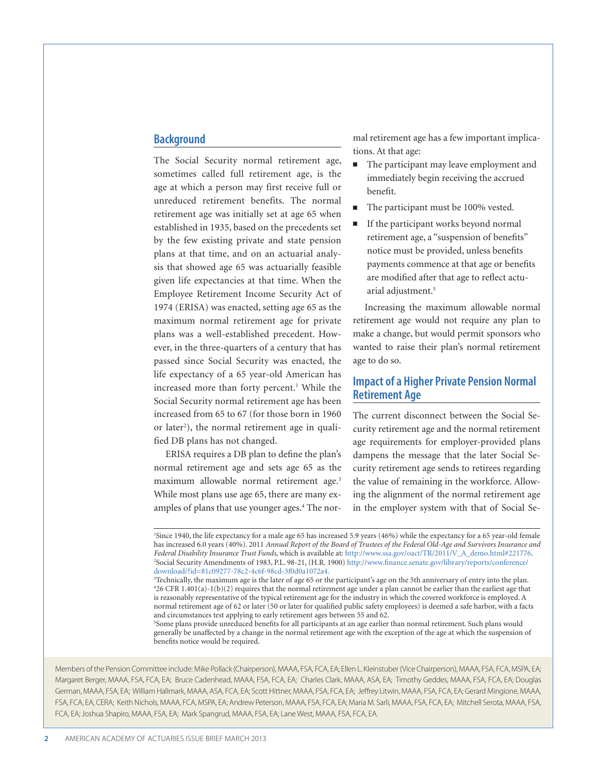#### **Background**

The Social Security normal retirement age, sometimes called full retirement age, is the age at which a person may first receive full or unreduced retirement benefits. The normal retirement age was initially set at age 65 when established in 1935, based on the precedents set by the few existing private and state pension plans at that time, and on an actuarial analysis that showed age 65 was actuarially feasible given life expectancies at that time. When the Employee Retirement Income Security Act of 1974 (ERISA) was enacted, setting age 65 as the maximum normal retirement age for private plans was a well-established precedent. However, in the three-quarters of a century that has passed since Social Security was enacted, the life expectancy of a 65 year-old American has increased more than forty percent.<sup>1</sup> While the Social Security normal retirement age has been increased from 65 to 67 (for those born in 1960 or later<sup>2</sup>), the normal retirement age in qualified DB plans has not changed.

ERISA requires a DB plan to define the plan's normal retirement age and sets age 65 as the maximum allowable normal retirement age.<sup>3</sup> While most plans use age 65, there are many examples of plans that use younger ages.<sup>4</sup> The normal retirement age has a few important implications. At that age:

- $\blacksquare$  The participant may leave employment and immediately begin receiving the accrued benefit.
- The participant must be 100% vested.
- $\blacksquare$  If the participant works beyond normal retirement age, a "suspension of benefits" notice must be provided, unless benefits payments commence at that age or benefits are modified after that age to reflect actuarial adjustment.<sup>5</sup>

Increasing the maximum allowable normal retirement age would not require any plan to make a change, but would permit sponsors who wanted to raise their plan's normal retirement age to do so.

### **Impact of a Higher Private Pension Normal Retirement Age**

The current disconnect between the Social Security retirement age and the normal retirement age requirements for employer-provided plans dampens the message that the later Social Security retirement age sends to retirees regarding the value of remaining in the workforce. Allowing the alignment of the normal retirement age in the employer system with that of Social Se-

5 Some plans provide unreduced benefits for all participants at an age earlier than normal retirement. Such plans would generally be unaffected by a change in the normal retirement age with the exception of the age at which the suspension of benefits notice would be required.

Members of the Pension Committee include: Mike Pollack (Chairperson), MAAA, FSA, FCA, EA; Ellen L. Kleinstuber (Vice Chairperson), MAAA, FSA, FCA, MSPA, EA; Margaret Berger, MAAA, FSA, FCA, EA; Bruce Cadenhead, MAAA, FSA, FCA, EA; Charles Clark, MAAA, ASA, EA; Timothy Geddes, MAAA, FSA, FCA, EA; Douglas German, MAAA, FSA, EA; William Hallmark, MAAA, ASA, FCA, EA; Scott Hittner, MAAA, FSA, FCA, EA; Jeffrey Litwin, MAAA, FSA, FCA, EA; Gerard Mingione, MAAA, FSA, FCA, EA, CERA; Keith Nichols, MAAA, FCA, MSPA, EA; Andrew Peterson, MAAA, FSA, FCA, EA; Maria M. Sarli, MAAA, FSA, FCA, EA; Mitchell Serota, MAAA, FSA, FCA, EA; Joshua Shapiro, MAAA, FSA, EA; Mark Spangrud, MAAA, FSA, EA; Lane West, MAAA, FSA, FCA, EA.

<sup>1</sup> Since 1940, the life expectancy for a male age 65 has increased 5.9 years (46%) while the expectancy for a 65 year-old female has increased 6.0 years (40%). 2011 *Annual Report of the Board of Trustees of the Federal Old-Age and Survivors Insurance and Federal Disability Insurance Trust Funds*, which is available at: [http://www.ssa.gov/oact/TR/2011/V\\_A\\_demo.html#221776.](http://www.ssa.gov/oact/TR/2011/V_A_demo.html#221776) 2 Social Security Amendments of 1983, P.L. 98-21, (H.R. 1900) [http://www.finance.senate.gov/library/reports/conference/](http://www.finance.senate.gov/library/reports/conference/download/?id=81c09277-78c2-4c6f-98cd-3f0d0a1072a4) [download/?id=81c09277-78c2-4c6f-98cd-3f0d0a1072a4.](http://www.finance.senate.gov/library/reports/conference/download/?id=81c09277-78c2-4c6f-98cd-3f0d0a1072a4)

<sup>3</sup> Technically, the maximum age is the later of age 65 or the participant's age on the 5th anniversary of entry into the plan. 4 26 CFR 1.401(a)-1(b)(2) requires that the normal retirement age under a plan cannot be earlier than the earliest age that is reasonably representative of the typical retirement age for the industry in which the covered workforce is employed. A normal retirement age of 62 or later (50 or later for qualified public safety employees) is deemed a safe harbor, with a facts and circumstances test applying to early retirement ages between 55 and 62.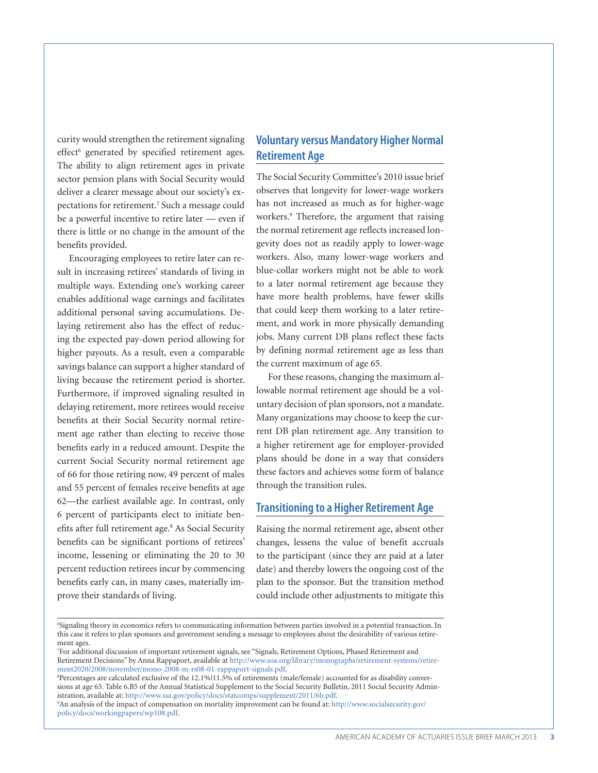curity would strengthen the retirement signaling effect<sup>6</sup> generated by specified retirement ages. The ability to align retirement ages in private sector pension plans with Social Security would deliver a clearer message about our society's expectations for retirement.<sup>7</sup> Such a message could be a powerful incentive to retire later — even if there is little or no change in the amount of the benefits provided.

Encouraging employees to retire later can result in increasing retirees' standards of living in multiple ways. Extending one's working career enables additional wage earnings and facilitates additional personal saving accumulations. Delaying retirement also has the effect of reducing the expected pay-down period allowing for higher payouts. As a result, even a comparable savings balance can support a higher standard of living because the retirement period is shorter. Furthermore, if improved signaling resulted in delaying retirement, more retirees would receive benefits at their Social Security normal retirement age rather than electing to receive those benefits early in a reduced amount. Despite the current Social Security normal retirement age of 66 for those retiring now, 49 percent of males and 55 percent of females receive benefits at age 62—the earliest available age. In contrast, only 6 percent of participants elect to initiate benefits after full retirement age.<sup>8</sup> As Social Security benefits can be significant portions of retirees' income, lessening or eliminating the 20 to 30 percent reduction retirees incur by commencing benefits early can, in many cases, materially improve their standards of living.

## **Voluntary versus Mandatory Higher Normal Retirement Age**

The Social Security Committee's 2010 issue brief observes that longevity for lower-wage workers has not increased as much as for higher-wage workers.9 Therefore, the argument that raising the normal retirement age reflects increased longevity does not as readily apply to lower-wage workers. Also, many lower-wage workers and blue-collar workers might not be able to work to a later normal retirement age because they have more health problems, have fewer skills that could keep them working to a later retirement, and work in more physically demanding jobs. Many current DB plans reflect these facts by defining normal retirement age as less than the current maximum of age 65.

For these reasons, changing the maximum allowable normal retirement age should be a voluntary decision of plan sponsors, not a mandate. Many organizations may choose to keep the current DB plan retirement age. Any transition to a higher retirement age for employer-provided plans should be done in a way that considers these factors and achieves some form of balance through the transition rules.

#### **Transitioning to a Higher Retirement Age**

Raising the normal retirement age, absent other changes, lessens the value of benefit accruals to the participant (since they are paid at a later date) and thereby lowers the ongoing cost of the plan to the sponsor. But the transition method could include other adjustments to mitigate this

<sup>6</sup> Signaling theory in economics refers to communicating information between parties involved in a potential transaction. In this case it refers to plan sponsors and government sending a message to employees about the desirability of various retirement ages.

<sup>7</sup> For additional discussion of important retirement signals, see "Signals, Retirement Options, Phased Retirement and Retirement Decisions" by Anna Rappaport, available at [http://www.soa.org/library/monographs/retirement-systems/retire](http://www.soa.org/library/monographs/retirement-systems/retirement2020/2008/november/mono-2008-m-rs08-01-rappaport-signals.pdf)[ment2020/2008/november/mono-2008-m-rs08-01-rappaport-signals.pdf](http://www.soa.org/library/monographs/retirement-systems/retirement2020/2008/november/mono-2008-m-rs08-01-rappaport-signals.pdf).

<sup>&</sup>lt;sup>8</sup>Percentages are calculated exclusive of the 12.1%|11.5% of retirements (male/female) accounted for as disability conversions at age 65. Table 6.B5 of the Annual Statistical Supplement to the Social Security Bulletin, 2011 Social Security Administration, available at: [http://www.ssa.gov/policy/docs/statcomps/supplement/2011/6b.pdf.](http://www.ssa.gov/policy/docs/statcomps/supplement/2011/6b.pdf)

<sup>9</sup> An analysis of the impact of compensation on mortality improvement can be found at: [http://www.socialsecurity.gov/](http://www.socialsecurity.gov/policy/docs/workingpapers/wp108.pdf) [policy/docs/workingpapers/wp108.pdf.](http://www.socialsecurity.gov/policy/docs/workingpapers/wp108.pdf)